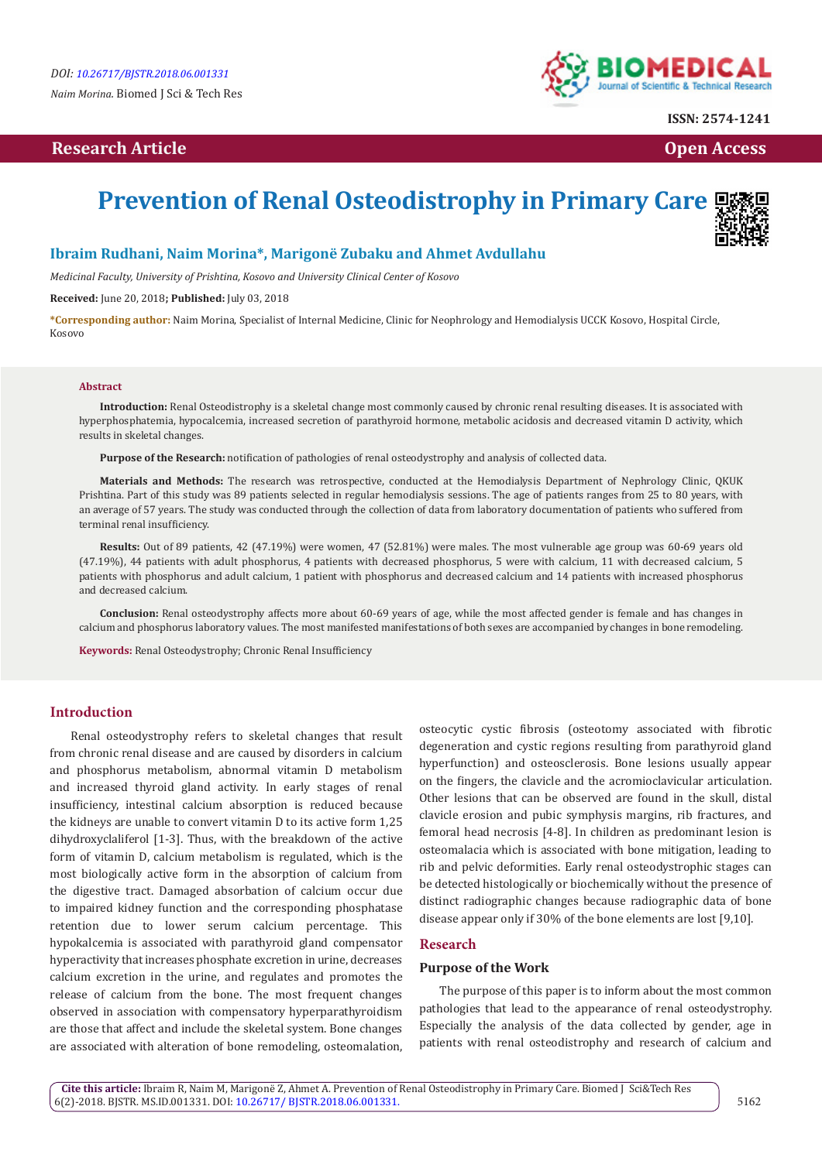# **Research Article Community Community Community Community Community Community Community Community Community Community Community Community Community Community Community Community Community Community Community Community Com**



**ISSN: 2574-1241**

# **Prevention of Renal Osteodistrophy in Primary Care**

# **Ibraim Rudhani, Naim Morina\*, Marigonë Zubaku and Ahmet Avdullahu**

*Medicinal Faculty, University of Prishtina, Kosovo and University Clinical Center of Kosovo*

**Received:** June 20, 2018**; Published:** July 03, 2018

**\*Corresponding author:** Naim Morina, Specialist of Internal Medicine, Clinic for Neophrology and Hemodialysis UCCK Kosovo, Hospital Circle, Kosovo

#### **Abstract**

**Introduction:** Renal Osteodistrophy is a skeletal change most commonly caused by chronic renal resulting diseases. It is associated with hyperphosphatemia, hypocalcemia, increased secretion of parathyroid hormone, metabolic acidosis and decreased vitamin D activity, which results in skeletal changes.

**Purpose of the Research:** notification of pathologies of renal osteodystrophy and analysis of collected data.

**Materials and Methods:** The research was retrospective, conducted at the Hemodialysis Department of Nephrology Clinic, QKUK Prishtina. Part of this study was 89 patients selected in regular hemodialysis sessions. The age of patients ranges from 25 to 80 years, with an average of 57 years. The study was conducted through the collection of data from laboratory documentation of patients who suffered from terminal renal insufficiency.

**Results:** Out of 89 patients, 42 (47.19%) were women, 47 (52.81%) were males. The most vulnerable age group was 60-69 years old (47.19%), 44 patients with adult phosphorus, 4 patients with decreased phosphorus, 5 were with calcium, 11 with decreased calcium, 5 patients with phosphorus and adult calcium, 1 patient with phosphorus and decreased calcium and 14 patients with increased phosphorus and decreased calcium.

**Conclusion:** Renal osteodystrophy affects more about 60-69 years of age, while the most affected gender is female and has changes in calcium and phosphorus laboratory values. The most manifested manifestations of both sexes are accompanied by changes in bone remodeling.

**Keywords:** Renal Osteodystrophy; Chronic Renal Insufficiency

# **Introduction**

Renal osteodystrophy refers to skeletal changes that result from chronic renal disease and are caused by disorders in calcium and phosphorus metabolism, abnormal vitamin D metabolism and increased thyroid gland activity. In early stages of renal insufficiency, intestinal calcium absorption is reduced because the kidneys are unable to convert vitamin D to its active form 1,25 dihydroxyclaliferol [1-3]. Thus, with the breakdown of the active form of vitamin D, calcium metabolism is regulated, which is the most biologically active form in the absorption of calcium from the digestive tract. Damaged absorbation of calcium occur due to impaired kidney function and the corresponding phosphatase retention due to lower serum calcium percentage. This hypokalcemia is associated with parathyroid gland compensator hyperactivity that increases phosphate excretion in urine, decreases calcium excretion in the urine, and regulates and promotes the release of calcium from the bone. The most frequent changes observed in association with compensatory hyperparathyroidism are those that affect and include the skeletal system. Bone changes are associated with alteration of bone remodeling, osteomalation, osteocytic cystic fibrosis (osteotomy associated with fibrotic degeneration and cystic regions resulting from parathyroid gland hyperfunction) and osteosclerosis. Bone lesions usually appear on the fingers, the clavicle and the acromioclavicular articulation. Other lesions that can be observed are found in the skull, distal clavicle erosion and pubic symphysis margins, rib fractures, and femoral head necrosis [4-8]. In children as predominant lesion is osteomalacia which is associated with bone mitigation, leading to rib and pelvic deformities. Early renal osteodystrophic stages can be detected histologically or biochemically without the presence of distinct radiographic changes because radiographic data of bone disease appear only if 30% of the bone elements are lost [9,10].

# **Research**

#### **Purpose of the Work**

The purpose of this paper is to inform about the most common pathologies that lead to the appearance of renal osteodystrophy. Especially the analysis of the data collected by gender, age in patients with renal osteodistrophy and research of calcium and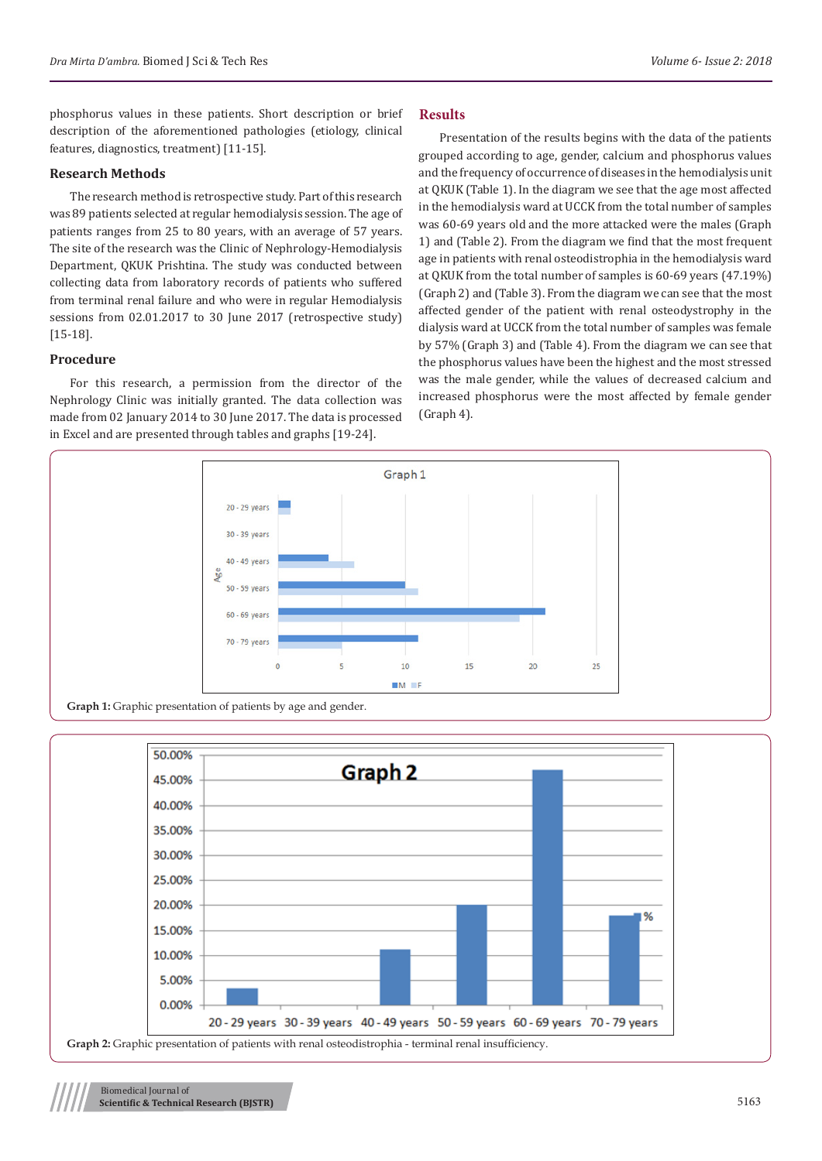phosphorus values in these patients. Short description or brief description of the aforementioned pathologies (etiology, clinical features, diagnostics, treatment) [11-15].

# **Research Methods**

The research method is retrospective study. Part of this research was 89 patients selected at regular hemodialysis session. The age of patients ranges from 25 to 80 years, with an average of 57 years. The site of the research was the Clinic of Nephrology-Hemodialysis Department, QKUK Prishtina. The study was conducted between collecting data from laboratory records of patients who suffered from terminal renal failure and who were in regular Hemodialysis sessions from 02.01.2017 to 30 June 2017 (retrospective study) [15-18].

#### **Procedure**

For this research, a permission from the director of the Nephrology Clinic was initially granted. The data collection was made from 02 January 2014 to 30 June 2017. The data is processed in Excel and are presented through tables and graphs [19-24].

#### **Results**

Presentation of the results begins with the data of the patients grouped according to age, gender, calcium and phosphorus values and the frequency of occurrence of diseases in the hemodialysis unit at QKUK (Table 1). In the diagram we see that the age most affected in the hemodialysis ward at UCCK from the total number of samples was 60-69 years old and the more attacked were the males (Graph 1) and (Table 2). From the diagram we find that the most frequent age in patients with renal osteodistrophia in the hemodialysis ward at QKUK from the total number of samples is 60-69 years (47.19%) (Graph 2) and (Table 3). From the diagram we can see that the most affected gender of the patient with renal osteodystrophy in the dialysis ward at UCCK from the total number of samples was female by 57% (Graph 3) and (Table 4). From the diagram we can see that the phosphorus values have been the highest and the most stressed was the male gender, while the values of decreased calcium and increased phosphorus were the most affected by female gender (Graph 4).



**Graph 1:** Graphic presentation of patients by age and gender.



Biomedical Journal of **Scientific & Technical Research (BJSTR)** 5163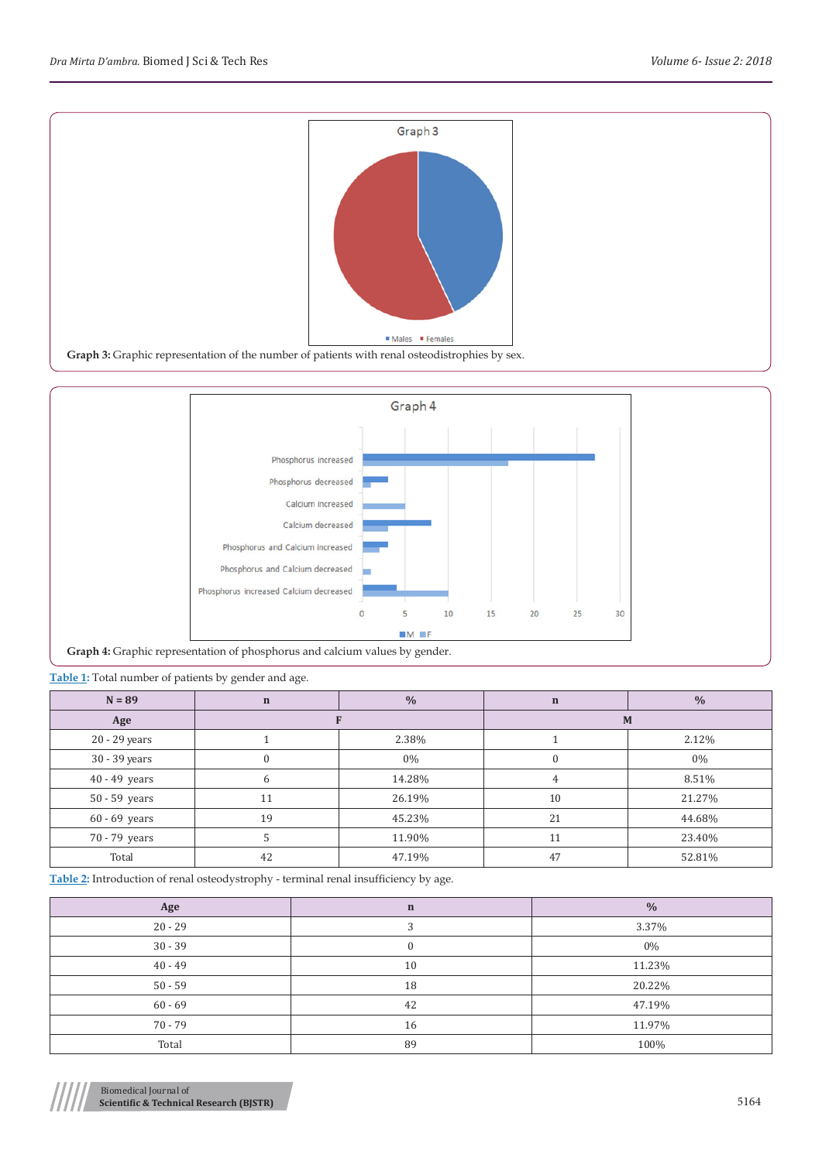



**Graph 4:** Graphic representation of phosphorus and calcium values by gender.

**Table 1:** Total number of patients by gender and age.

| $N = 89$        | $\mathbf n$ | $\frac{0}{0}$ | $\mathbf n$ | $\frac{0}{0}$ |  |
|-----------------|-------------|---------------|-------------|---------------|--|
| Age             |             |               | M           |               |  |
| 20 - 29 years   |             | 2.38%         |             | 2.12%         |  |
| 30 - 39 years   | 0           | $0\%$         | $\Omega$    | $0\%$         |  |
| $40 - 49$ years | 6           | 14.28%        | 4           | 8.51%         |  |
| 50 - 59 years   | 11          | 26.19%        | 10          | 21.27%        |  |
| $60 - 69$ years | 19          | 45.23%        | 21          | 44.68%        |  |
| 70 - 79 years   |             | 11.90%        | 11          | 23.40%        |  |
| Total           | 42          | 47.19%        | 47          | 52.81%        |  |

**Table 2:** Introduction of renal osteodystrophy - terminal renal insufficiency by age.

| Age       | $\mathbf n$ | $\frac{0}{0}$ |
|-----------|-------------|---------------|
| $20 - 29$ |             | 3.37%         |
| $30 - 39$ |             | $0\%$         |
| $40 - 49$ | 10          | 11.23%        |
| $50 - 59$ | 18          | 20.22%        |
| $60 - 69$ | 42          | 47.19%        |
| $70 - 79$ | 16          | 11.97%        |
| Total     | 89          | 100%          |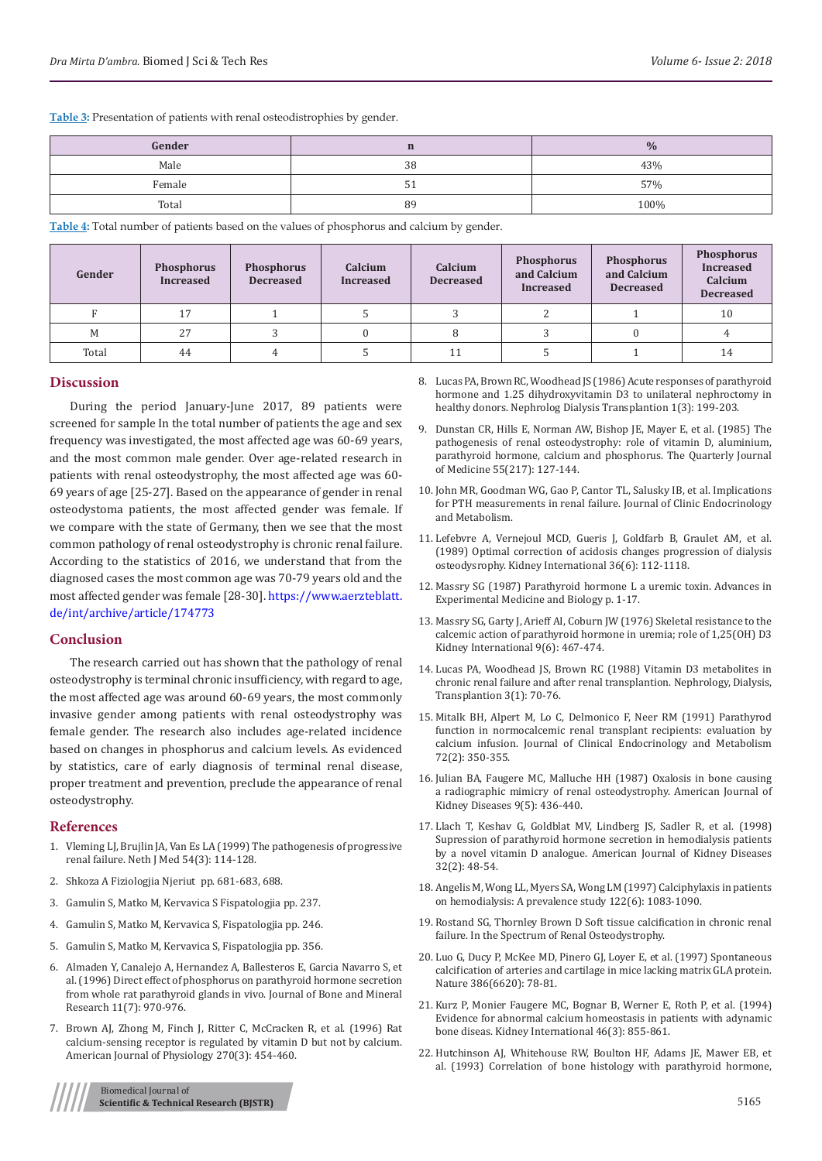**Table 3:** Presentation of patients with renal osteodistrophies by gender.

| Gender |    | $\frac{0}{0}$ |
|--------|----|---------------|
| Male   | 38 | 43%           |
| Female | ັ  | 57%           |
| Total  | 89 | 100%          |

**Table 4:** Total number of patients based on the values of phosphorus and calcium by gender.

| Gender | <b>Phosphorus</b><br><b>Increased</b> | <b>Phosphorus</b><br><b>Decreased</b> | Calcium<br><b>Increased</b> | Calcium<br><b>Decreased</b> | <b>Phosphorus</b><br>and Calcium<br><b>Increased</b> | <b>Phosphorus</b><br>and Calcium<br><b>Decreased</b> | <b>Phosphorus</b><br><b>Increased</b><br>Calcium<br><b>Decreased</b> |
|--------|---------------------------------------|---------------------------------------|-----------------------------|-----------------------------|------------------------------------------------------|------------------------------------------------------|----------------------------------------------------------------------|
|        | 17                                    |                                       |                             |                             |                                                      |                                                      | 10                                                                   |
| M      | 27                                    |                                       |                             |                             |                                                      |                                                      |                                                                      |
| Total  | 44                                    |                                       |                             | 11                          |                                                      |                                                      | 14                                                                   |

# **Discussion**

During the period January-June 2017, 89 patients were screened for sample In the total number of patients the age and sex frequency was investigated, the most affected age was 60-69 years, and the most common male gender. Over age-related research in patients with renal osteodystrophy, the most affected age was 60- 69 years of age [25-27]. Based on the appearance of gender in renal osteodystoma patients, the most affected gender was female. If we compare with the state of Germany, then we see that the most common pathology of renal osteodystrophy is chronic renal failure. According to the statistics of 2016, we understand that from the diagnosed cases the most common age was 70-79 years old and the most affected gender was female [28-30]. [https://www.aerzteblatt.](https://www.aerzteblatt.de/int/archive/article/174773 ) [de/int/archive/article/174773](https://www.aerzteblatt.de/int/archive/article/174773 )

# **Conclusion**

The research carried out has shown that the pathology of renal osteodystrophy is terminal chronic insufficiency, with regard to age, the most affected age was around 60-69 years, the most commonly invasive gender among patients with renal osteodystrophy was female gender. The research also includes age-related incidence based on changes in phosphorus and calcium levels. As evidenced by statistics, care of early diagnosis of terminal renal disease, proper treatment and prevention, preclude the appearance of renal osteodystrophy.

#### **References**

- 1. [Vleming LJ, Brujlin JA, Van Es LA \(1999\) The pathogenesis of progressive](https://www.ncbi.nlm.nih.gov/pubmed/10189786)  [renal failure. Neth J Med 54\(3\): 114-128.](https://www.ncbi.nlm.nih.gov/pubmed/10189786)
- 2. Shkoza A Fiziologjia Njeriut pp. 681-683, 688.
- 3. Gamulin S, Matko M, Kervavica S Fispatologjia pp. 237.
- 4. Gamulin S, Matko M, Kervavica S, Fispatologjia pp. 246.
- 5. Gamulin S, Matko M, Kervavica S, Fispatologjia pp. 356.
- 6. [Almaden Y, Canalejo A, Hernandez A, Ballesteros E, Garcia Navarro S, et](https://www.ncbi.nlm.nih.gov/pubmed/8797118)  [al. \(1996\) Direct effect of phosphorus on parathyroid hormone secretion](https://www.ncbi.nlm.nih.gov/pubmed/8797118)  [from whole rat parathyroid glands in vivo. Journal of Bone and Mineral](https://www.ncbi.nlm.nih.gov/pubmed/8797118)  [Research 11\(7\): 970-976.](https://www.ncbi.nlm.nih.gov/pubmed/8797118)
- 7. [Brown AJ, Zhong M, Finch J, Ritter C, McCracken R, et al. \(1996\) Rat](https://www.ncbi.nlm.nih.gov/pubmed/8780248)  [calcium-sensing receptor is regulated by vitamin D but not by calcium.](https://www.ncbi.nlm.nih.gov/pubmed/8780248)  [American Journal of Physiology 270\(3\): 454-460.](https://www.ncbi.nlm.nih.gov/pubmed/8780248)

# Biomedical Journal of **Scientific & Technical Research (BJSTR)** 5165

- 8. [Lucas PA, Brown RC, Woodhead JS \(1986\) Acute responses of parathyroid](https://www.ncbi.nlm.nih.gov/pubmed/3110674) [hormone and 1.25 dihydroxyvitamin D3 to unilateral nephroctomy in](https://www.ncbi.nlm.nih.gov/pubmed/3110674) [healthy donors. Nephrolog Dialysis Transplantion 1\(3\): 199-203.](https://www.ncbi.nlm.nih.gov/pubmed/3110674)
- 9. [Dunstan CR, Hills E, Norman AW, Bishop JE, Mayer E, et al. \(1985\) The](https://www.ncbi.nlm.nih.gov/pubmed/4001311) [pathogenesis of renal osteodystrophy: role of vitamin D, aluminium,](https://www.ncbi.nlm.nih.gov/pubmed/4001311) [parathyroid hormone, calcium and phosphorus. The Quarterly Journal](https://www.ncbi.nlm.nih.gov/pubmed/4001311) [of Medicine 55\(217\): 127-144.](https://www.ncbi.nlm.nih.gov/pubmed/4001311)
- 10. John MR, Goodman WG, Gao P, Cantor TL, Salusky IB, et al. Implications for PTH measurements in renal failure. Journal of Clinic Endocrinology and Metabolism.
- 11. [Lefebvre A, Vernejoul MCD, Gueris J, Goldfarb B, Graulet AM, et al.](https://www.ncbi.nlm.nih.gov/pubmed/2557481) [\(1989\) Optimal correction of acidosis changes progression of dialysis](https://www.ncbi.nlm.nih.gov/pubmed/2557481) [osteodysrophy. Kidney International 36\(6\): 112-1118.](https://www.ncbi.nlm.nih.gov/pubmed/2557481)
- 12. [Massry SG \(1987\) Parathyroid hormone L a uremic toxin. Advances in](https://link.springer.com/chapter/10.1007/978-1-4684-5445-1_1) [Experimental Medicine and Biology p. 1-17.](https://link.springer.com/chapter/10.1007/978-1-4684-5445-1_1)
- 13. [Massry SG, Garty J, Arieff AI, Coburn JW \(1976\) Skeletal resistance to the](https://www.ncbi.nlm.nih.gov/pubmed/940279) [calcemic action of parathyroid hormone in uremia; role of 1,25\(OH\) D3](https://www.ncbi.nlm.nih.gov/pubmed/940279) [Kidney International 9\(6\): 467-474.](https://www.ncbi.nlm.nih.gov/pubmed/940279)
- 14. [Lucas PA, Woodhead JS, Brown RC \(1988\) Vitamin D3 metabolites in](https://www.ncbi.nlm.nih.gov/pubmed/3132643) [chronic renal failure and after renal transplantion. Nephrology, Dialysis,](https://www.ncbi.nlm.nih.gov/pubmed/3132643) [Transplantion 3\(1\): 70-76.](https://www.ncbi.nlm.nih.gov/pubmed/3132643)
- 15. [Mitalk BH, Alpert M, Lo C, Delmonico F, Neer RM \(1991\) Parathyrod](https://www.ncbi.nlm.nih.gov/pubmed/1991804) [function in normocalcemic renal transplant recipients: evaluation by](https://www.ncbi.nlm.nih.gov/pubmed/1991804) [calcium infusion. Journal of Clinical Endocrinology and Metabolism](https://www.ncbi.nlm.nih.gov/pubmed/1991804) [72\(2\): 350-355.](https://www.ncbi.nlm.nih.gov/pubmed/1991804)
- 16. [Julian BA, Faugere MC, Malluche HH \(1987\) Oxalosis in bone causing](https://www.ncbi.nlm.nih.gov/pubmed/2437794) [a radiographic mimicry of renal osteodystrophy. American Journal of](https://www.ncbi.nlm.nih.gov/pubmed/2437794) [Kidney Diseases 9\(5\): 436-440.](https://www.ncbi.nlm.nih.gov/pubmed/2437794)
- 17. [Llach T, Keshav G, Goldblat MV, Lindberg JS, Sadler R, et al. \(1998\)](https://www.ncbi.nlm.nih.gov/pubmed/9808143) [Supression of parathyroid hormone secretion in hemodialysis patients](https://www.ncbi.nlm.nih.gov/pubmed/9808143) [by a novel vitamin D analogue. American Journal of Kidney Diseases](https://www.ncbi.nlm.nih.gov/pubmed/9808143) [32\(2\): 48-54.](https://www.ncbi.nlm.nih.gov/pubmed/9808143)
- 18. [Angelis M, Wong LL, Myers SA, Wong LM \(1997\) Calciphylaxis in patients](https://www.ncbi.nlm.nih.gov/pubmed/9426423) [on hemodialysis: A prevalence study 122\(6\): 1083-1090.](https://www.ncbi.nlm.nih.gov/pubmed/9426423)
- 19. Rostand SG, Thornley Brown D Soft tissue calcification in chronic renal failure. In the Spectrum of Renal Osteodystrophy.
- 20. [Luo G, Ducy P, McKee MD, Pinero GJ, Loyer E, et al. \(1997\) Spontaneous](https://www.ncbi.nlm.nih.gov/pubmed/9052783) [calcification of arteries and cartilage in mice lacking matrix GLA protein.](https://www.ncbi.nlm.nih.gov/pubmed/9052783) [Nature 386\(6620\): 78-81.](https://www.ncbi.nlm.nih.gov/pubmed/9052783)
- 21. [Kurz P, Monier Faugere MC, Bognar B, Werner E, Roth P, et al. \(1994\)](https://www.ncbi.nlm.nih.gov/pubmed/7996807) [Evidence for abnormal calcium homeostasis in patients with adynamic](https://www.ncbi.nlm.nih.gov/pubmed/7996807) [bone diseas. Kidney International 46\(3\): 855-861.](https://www.ncbi.nlm.nih.gov/pubmed/7996807)
- 22. [Hutchinson AJ, Whitehouse RW, Boulton HF, Adams JE, Mawer EB, et](https://www.ncbi.nlm.nih.gov/pubmed/8264137) [al. \(1993\) Correlation of bone histology with parathyroid hormone,](https://www.ncbi.nlm.nih.gov/pubmed/8264137)